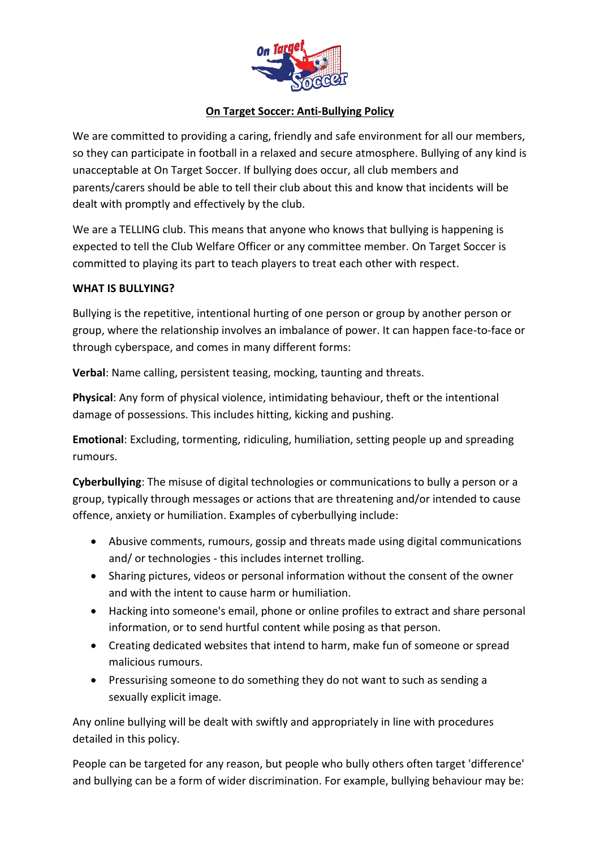

## **On Target Soccer: Anti-Bullying Policy**

We are committed to providing a caring, friendly and safe environment for all our members, so they can participate in football in a relaxed and secure atmosphere. Bullying of any kind is unacceptable at On Target Soccer. If bullying does occur, all club members and parents/carers should be able to tell their club about this and know that incidents will be dealt with promptly and effectively by the club.

We are a TELLING club. This means that anyone who knows that bullying is happening is expected to tell the Club Welfare Officer or any committee member. On Target Soccer is committed to playing its part to teach players to treat each other with respect.

## **WHAT IS BULLYING?**

Bullying is the repetitive, intentional hurting of one person or group by another person or group, where the relationship involves an imbalance of power. It can happen face-to-face or through cyberspace, and comes in many different forms:

**Verbal**: Name calling, persistent teasing, mocking, taunting and threats.

**Physical**: Any form of physical violence, intimidating behaviour, theft or the intentional damage of possessions. This includes hitting, kicking and pushing.

**Emotional**: Excluding, tormenting, ridiculing, humiliation, setting people up and spreading rumours.

**Cyberbullying**: The misuse of digital technologies or communications to bully a person or a group, typically through messages or actions that are threatening and/or intended to cause offence, anxiety or humiliation. Examples of cyberbullying include:

- Abusive comments, rumours, gossip and threats made using digital communications and/ or technologies - this includes internet trolling.
- Sharing pictures, videos or personal information without the consent of the owner and with the intent to cause harm or humiliation.
- Hacking into someone's email, phone or online profiles to extract and share personal information, or to send hurtful content while posing as that person.
- Creating dedicated websites that intend to harm, make fun of someone or spread malicious rumours.
- Pressurising someone to do something they do not want to such as sending a sexually explicit image.

Any online bullying will be dealt with swiftly and appropriately in line with procedures detailed in this policy.

People can be targeted for any reason, but people who bully others often target 'difference' and bullying can be a form of wider discrimination. For example, bullying behaviour may be: